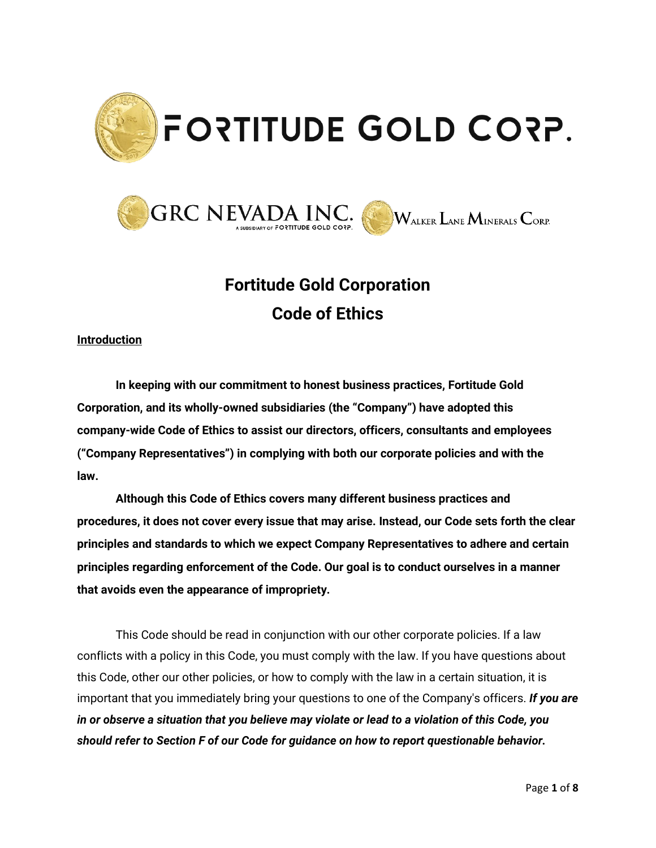



# **Fortitude Gold Corporation Code of Ethics**

## **Introduction**

**In keeping with our commitment to honest business practices, Fortitude Gold Corporation, and its wholly-owned subsidiaries (the "Company") have adopted this company-wide Code of Ethics to assist our directors, officers, consultants and employees ("Company Representatives") in complying with both our corporate policies and with the law.**

**Although this Code of Ethics covers many different business practices and procedures, it does not cover every issue that may arise. Instead, our Code sets forth the clear principles and standards to which we expect Company Representatives to adhere and certain principles regarding enforcement of the Code. Our goal is to conduct ourselves in a manner that avoids even the appearance of impropriety.**

This Code should be read in conjunction with our other corporate policies. If a law conflicts with a policy in this Code, you must comply with the law. If you have questions about this Code, other our other policies, or how to comply with the law in a certain situation, it is important that you immediately bring your questions to one of the Company's officers. *If you are in or observe a situation that you believe may violate or lead to a violation of this Code, you should refer to Section F of our Code for guidance on how to report questionable behavior.*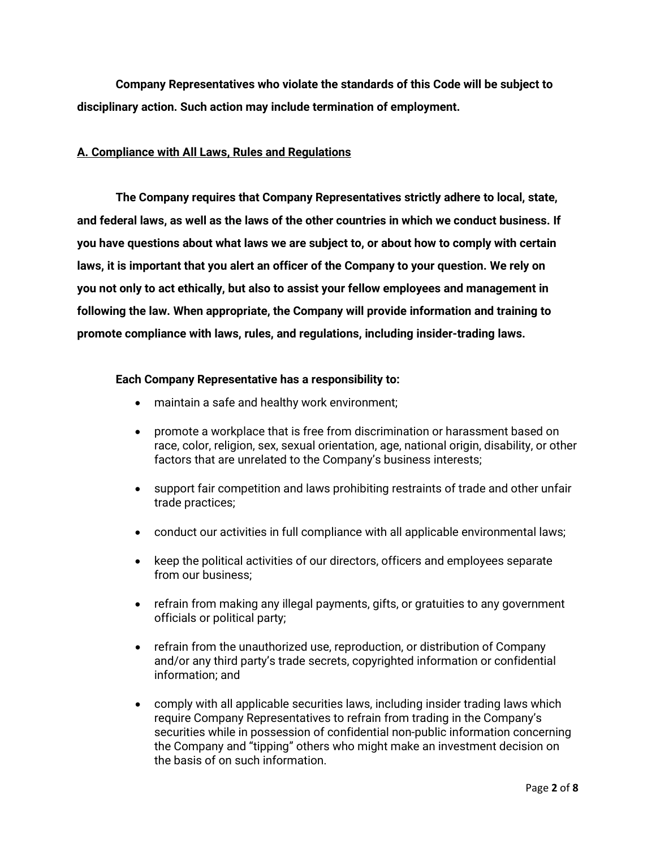**Company Representatives who violate the standards of this Code will be subject to disciplinary action. Such action may include termination of employment.**

# **A. Compliance with All Laws, Rules and Regulations**

**The Company requires that Company Representatives strictly adhere to local, state, and federal laws, as well as the laws of the other countries in which we conduct business. If you have questions about what laws we are subject to, or about how to comply with certain laws, it is important that you alert an officer of the Company to your question. We rely on you not only to act ethically, but also to assist your fellow employees and management in following the law. When appropriate, the Company will provide information and training to promote compliance with laws, rules, and regulations, including insider-trading laws.**

### **Each Company Representative has a responsibility to:**

- maintain a safe and healthy work environment;
- promote a workplace that is free from discrimination or harassment based on race, color, religion, sex, sexual orientation, age, national origin, disability, or other factors that are unrelated to the Company's business interests;
- support fair competition and laws prohibiting restraints of trade and other unfair trade practices;
- conduct our activities in full compliance with all applicable environmental laws;
- keep the political activities of our directors, officers and employees separate from our business;
- refrain from making any illegal payments, gifts, or gratuities to any government officials or political party;
- refrain from the unauthorized use, reproduction, or distribution of Company and/or any third party's trade secrets, copyrighted information or confidential information; and
- comply with all applicable securities laws, including insider trading laws which require Company Representatives to refrain from trading in the Company's securities while in possession of confidential non-public information concerning the Company and "tipping" others who might make an investment decision on the basis of on such information.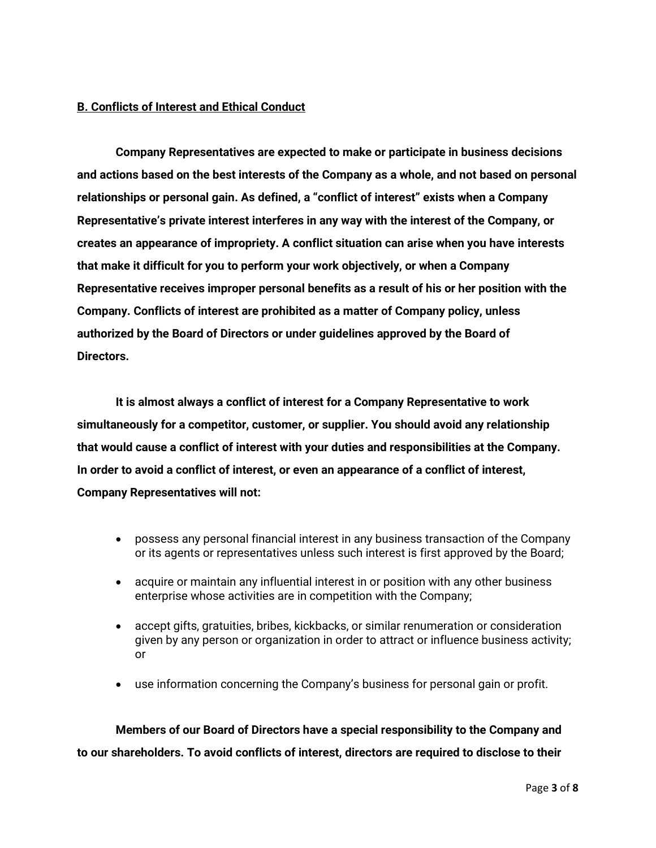## **B. Conflicts of Interest and Ethical Conduct**

**Company Representatives are expected to make or participate in business decisions and actions based on the best interests of the Company as a whole, and not based on personal relationships or personal gain. As defined, a "conflict of interest" exists when a Company Representative's private interest interferes in any way with the interest of the Company, or creates an appearance of impropriety. A conflict situation can arise when you have interests that make it difficult for you to perform your work objectively, or when a Company Representative receives improper personal benefits as a result of his or her position with the Company. Conflicts of interest are prohibited as a matter of Company policy, unless authorized by the Board of Directors or under guidelines approved by the Board of Directors.**

**It is almost always a conflict of interest for a Company Representative to work simultaneously for a competitor, customer, or supplier. You should avoid any relationship that would cause a conflict of interest with your duties and responsibilities at the Company. In order to avoid a conflict of interest, or even an appearance of a conflict of interest, Company Representatives will not:**

- possess any personal financial interest in any business transaction of the Company or its agents or representatives unless such interest is first approved by the Board;
- acquire or maintain any influential interest in or position with any other business enterprise whose activities are in competition with the Company;
- accept gifts, gratuities, bribes, kickbacks, or similar renumeration or consideration given by any person or organization in order to attract or influence business activity; or
- use information concerning the Company's business for personal gain or profit.

**Members of our Board of Directors have a special responsibility to the Company and to our shareholders. To avoid conflicts of interest, directors are required to disclose to their**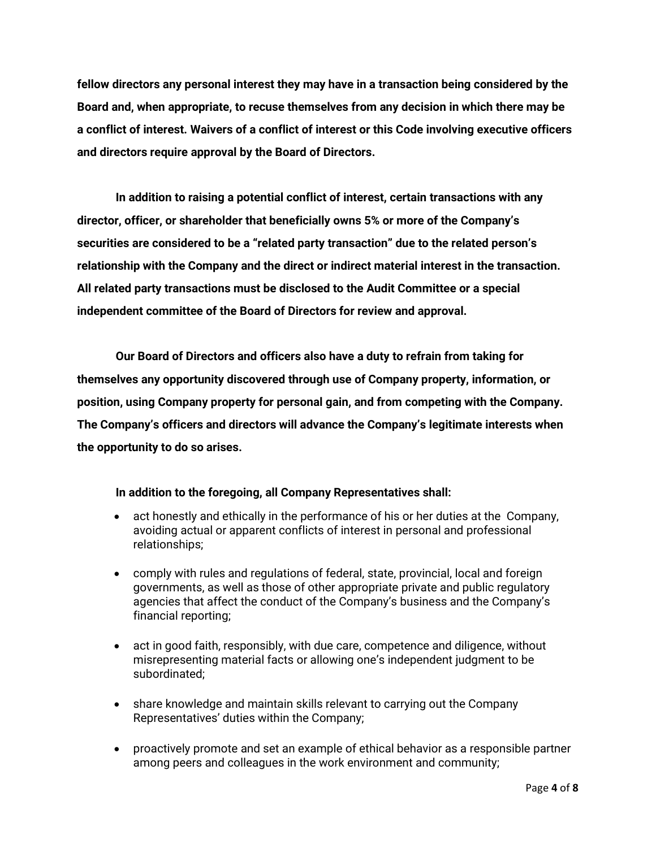**fellow directors any personal interest they may have in a transaction being considered by the Board and, when appropriate, to recuse themselves from any decision in which there may be a conflict of interest. Waivers of a conflict of interest or this Code involving executive officers and directors require approval by the Board of Directors.**

**In addition to raising a potential conflict of interest, certain transactions with any director, officer, or shareholder that beneficially owns 5% or more of the Company's securities are considered to be a "related party transaction" due to the related person's relationship with the Company and the direct or indirect material interest in the transaction. All related party transactions must be disclosed to the Audit Committee or a special independent committee of the Board of Directors for review and approval.**

**Our Board of Directors and officers also have a duty to refrain from taking for themselves any opportunity discovered through use of Company property, information, or position, using Company property for personal gain, and from competing with the Company. The Company's officers and directors will advance the Company's legitimate interests when the opportunity to do so arises.**

# **In addition to the foregoing, all Company Representatives shall:**

- act honestly and ethically in the performance of his or her duties at the Company, avoiding actual or apparent conflicts of interest in personal and professional relationships;
- comply with rules and regulations of federal, state, provincial, local and foreign governments, as well as those of other appropriate private and public regulatory agencies that affect the conduct of the Company's business and the Company's financial reporting;
- act in good faith, responsibly, with due care, competence and diligence, without misrepresenting material facts or allowing one's independent judgment to be subordinated;
- share knowledge and maintain skills relevant to carrying out the Company Representatives' duties within the Company;
- proactively promote and set an example of ethical behavior as a responsible partner among peers and colleagues in the work environment and community;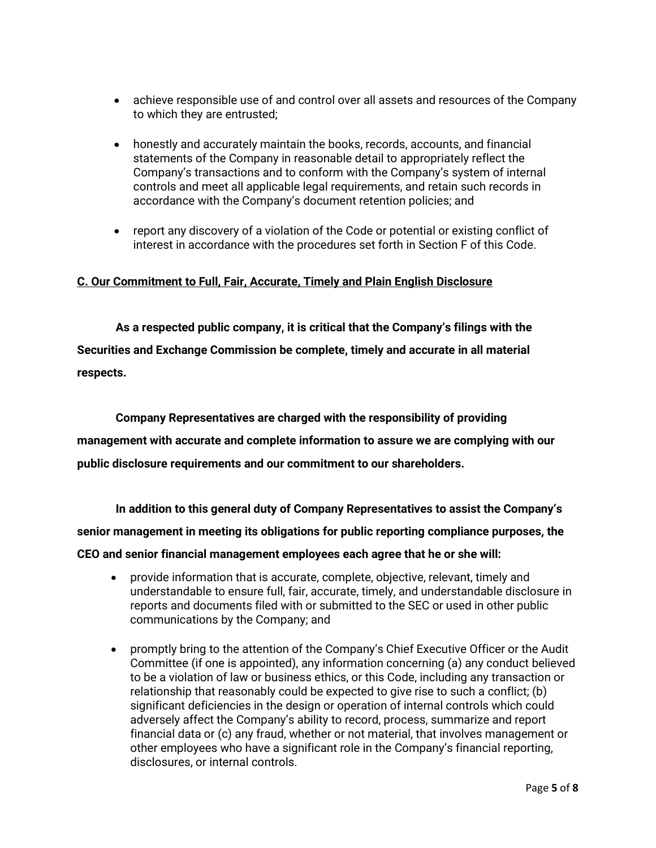- achieve responsible use of and control over all assets and resources of the Company to which they are entrusted;
- honestly and accurately maintain the books, records, accounts, and financial statements of the Company in reasonable detail to appropriately reflect the Company's transactions and to conform with the Company's system of internal controls and meet all applicable legal requirements, and retain such records in accordance with the Company's document retention policies; and
- report any discovery of a violation of the Code or potential or existing conflict of interest in accordance with the procedures set forth in Section F of this Code.

## **C. Our Commitment to Full, Fair, Accurate, Timely and Plain English Disclosure**

**As a respected public company, it is critical that the Company's filings with the Securities and Exchange Commission be complete, timely and accurate in all material respects.**

**Company Representatives are charged with the responsibility of providing management with accurate and complete information to assure we are complying with our public disclosure requirements and our commitment to our shareholders.**

**In addition to this general duty of Company Representatives to assist the Company's senior management in meeting its obligations for public reporting compliance purposes, the CEO and senior financial management employees each agree that he or she will:**

- provide information that is accurate, complete, objective, relevant, timely and understandable to ensure full, fair, accurate, timely, and understandable disclosure in reports and documents filed with or submitted to the SEC or used in other public communications by the Company; and
- promptly bring to the attention of the Company's Chief Executive Officer or the Audit Committee (if one is appointed), any information concerning (a) any conduct believed to be a violation of law or business ethics, or this Code, including any transaction or relationship that reasonably could be expected to give rise to such a conflict; (b) significant deficiencies in the design or operation of internal controls which could adversely affect the Company's ability to record, process, summarize and report financial data or (c) any fraud, whether or not material, that involves management or other employees who have a significant role in the Company's financial reporting, disclosures, or internal controls.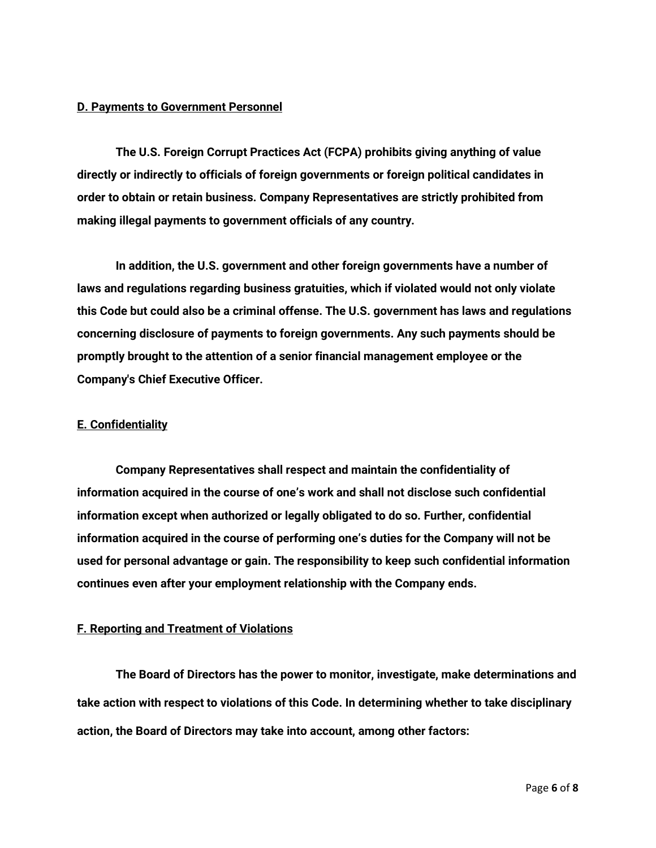#### **D. Payments to Government Personnel**

**The U.S. Foreign Corrupt Practices Act (FCPA) prohibits giving anything of value directly or indirectly to officials of foreign governments or foreign political candidates in order to obtain or retain business. Company Representatives are strictly prohibited from making illegal payments to government officials of any country.**

**In addition, the U.S. government and other foreign governments have a number of laws and regulations regarding business gratuities, which if violated would not only violate this Code but could also be a criminal offense. The U.S. government has laws and regulations concerning disclosure of payments to foreign governments. Any such payments should be promptly brought to the attention of a senior financial management employee or the Company's Chief Executive Officer.** 

#### **E. Confidentiality**

**Company Representatives shall respect and maintain the confidentiality of information acquired in the course of one's work and shall not disclose such confidential information except when authorized or legally obligated to do so. Further, confidential information acquired in the course of performing one's duties for the Company will not be used for personal advantage or gain. The responsibility to keep such confidential information continues even after your employment relationship with the Company ends.**

# **F. Reporting and Treatment of Violations**

**The Board of Directors has the power to monitor, investigate, make determinations and take action with respect to violations of this Code. In determining whether to take disciplinary action, the Board of Directors may take into account, among other factors:**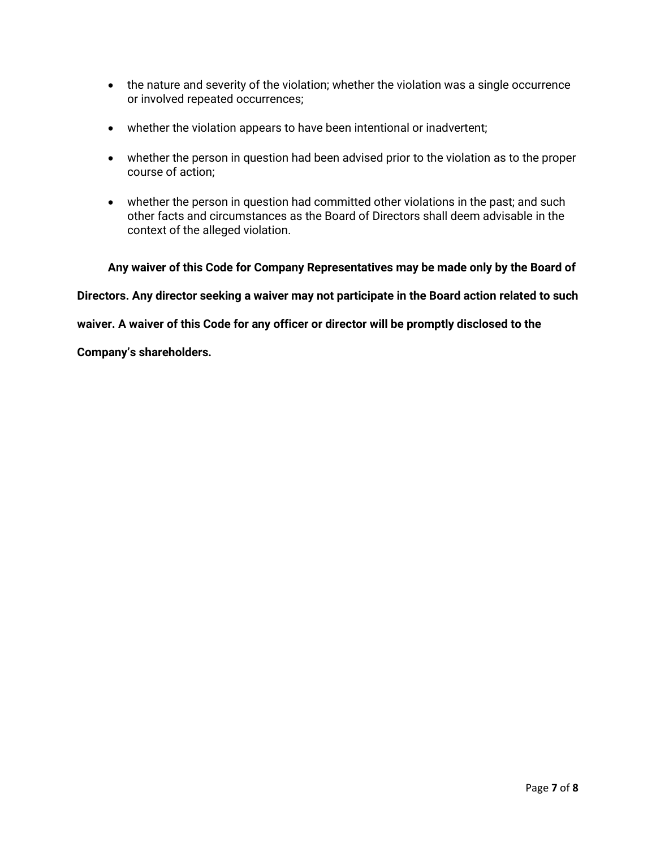- the nature and severity of the violation; whether the violation was a single occurrence or involved repeated occurrences;
- whether the violation appears to have been intentional or inadvertent;
- whether the person in question had been advised prior to the violation as to the proper course of action;
- whether the person in question had committed other violations in the past; and such other facts and circumstances as the Board of Directors shall deem advisable in the context of the alleged violation.

**Any waiver of this Code for Company Representatives may be made only by the Board of** 

**Directors. Any director seeking a waiver may not participate in the Board action related to such** 

**waiver. A waiver of this Code for any officer or director will be promptly disclosed to the** 

**Company's shareholders.**